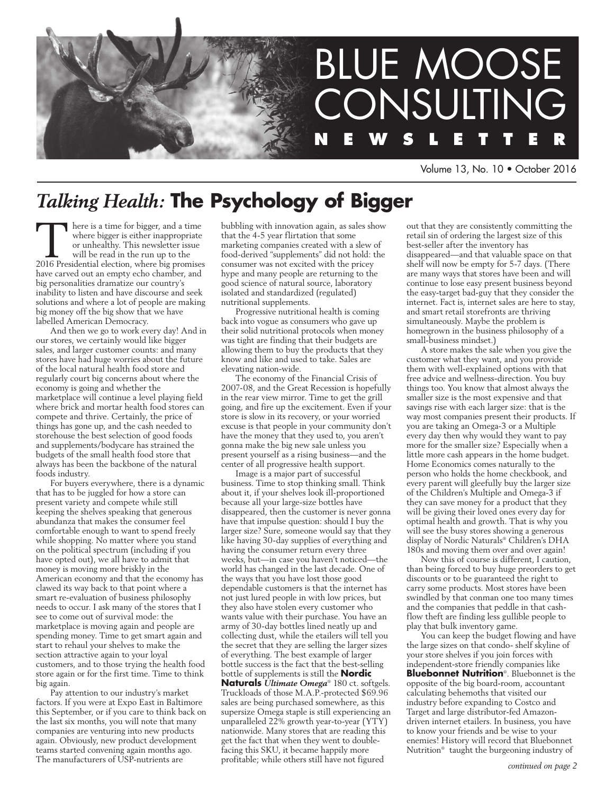

Volume 13, No. 10 • October 2016

# *Talking Health:* **The Psychology of Bigger**

There is a time for bigger, and a time<br>where bigger is either inappropriate<br>or unhealthy. This newsletter issue<br>will be read in the run up to the<br>2016 Presidential election, where big promises where bigger is either inappropriate or unhealthy. This newsletter issue will be read in the run up to the have carved out an empty echo chamber, and big personalities dramatize our country's inability to listen and have discourse and seek solutions and where a lot of people are making big money off the big show that we have labelled American Democracy.

And then we go to work every day! And in our stores, we certainly would like bigger sales, and larger customer counts: and many stores have had huge worries about the future of the local natural health food store and regularly court big concerns about where the economy is going and whether the marketplace will continue a level playing field where brick and mortar health food stores can compete and thrive. Certainly, the price of things has gone up, and the cash needed to storehouse the best selection of good foods and supplements/bodycare has strained the budgets of the small health food store that always has been the backbone of the natural foods industry.

For buyers everywhere, there is a dynamic that has to be juggled for how a store can present variety and compete while still keeping the shelves speaking that generous abundanza that makes the consumer feel comfortable enough to want to spend freely while shopping. No matter where you stand on the political spectrum (including if you have opted out), we all have to admit that money is moving more briskly in the American economy and that the economy has clawed its way back to that point where a smart re-evaluation of business philosophy needs to occur. I ask many of the stores that I see to come out of survival mode: the marketplace is moving again and people are spending money. Time to get smart again and start to rehaul your shelves to make the section attractive again to your loyal customers, and to those trying the health food store again or for the first time. Time to think big again.

Pay attention to our industry's market factors. If you were at Expo East in Baltimore this September, or if you care to think back on the last six months, you will note that many companies are venturing into new products again. Obviously, new product development teams started convening again months ago. The manufacturers of USP-nutrients are

bubbling with innovation again, as sales show that the 4-5 year flirtation that some marketing companies created with a slew of food-derived "supplements" did not hold: the consumer was not excited with the pricey hype and many people are returning to the good science of natural source, laboratory isolated and standardized (regulated) nutritional supplements.

Progressive nutritional health is coming back into vogue as consumers who gave up their solid nutritional protocols when money was tight are finding that their budgets are allowing them to buy the products that they know and like and used to take. Sales are elevating nation-wide.

The economy of the Financial Crisis of 2007-08, and the Great Recession is hopefully in the rear view mirror. Time to get the grill going, and fire up the excitement. Even if your store is slow in its recovery, or your worried excuse is that people in your community don't have the money that they used to, you aren't gonna make the big new sale unless you present yourself as a rising business—and the center of all progressive health support.

Image is a major part of successful business. Time to stop thinking small. Think about it, if your shelves look ill-proportioned because all your large-size bottles have disappeared, then the customer is never gonna have that impulse question: should I buy the larger size? Sure, someone would say that they like having 30-day supplies of everything and having the consumer return every three weeks, but—in case you haven't noticed—the world has changed in the last decade. One of the ways that you have lost those good dependable customers is that the internet has not just lured people in with low prices, but they also have stolen every customer who wants value with their purchase. You have an army of 30-day bottles lined neatly up and collecting dust, while the etailers will tell you the secret that they are selling the larger sizes of everything. The best example of larger bottle success is the fact that the best-selling bottle of supplements is still the **Nordic Naturals** *Ultimate Omega*® 180 ct. softgels. Truckloads of those M.A.P.-protected \$69.96 sales are being purchased somewhere, as this supersize Omega staple is still experiencing an unparalleled 22% growth year-to-year (YTY) nationwide. Many stores that are reading this get the fact that when they went to doublefacing this SKU, it became happily more

profitable; while others still have not figured

out that they are consistently committing the retail sin of ordering the largest size of this best-seller after the inventory has disappeared—and that valuable space on that shelf will now be empty for 5-7 days. (There are many ways that stores have been and will continue to lose easy present business beyond the easy-target bad-guy that they consider the internet. Fact is, internet sales are here to stay, and smart retail storefronts are thriving simultaneously. Maybe the problem is homegrown in the business philosophy of a small-business mindset.)

A store makes the sale when you give the customer what they want, and you provide them with well-explained options with that free advice and wellness-direction. You buy things too. You know that almost always the smaller size is the most expensive and that savings rise with each larger size: that is the way most companies present their products. If you are taking an Omega-3 or a Multiple every day then why would they want to pay more for the smaller size? Especially when a little more cash appears in the home budget. Home Economics comes naturally to the person who holds the home checkbook, and every parent will gleefully buy the larger size of the Children's Multiple and Omega-3 if they can save money for a product that they will be giving their loved ones every day for optimal health and growth. That is why you will see the busy stores showing a generous display of Nordic Naturals® Children's DHA 180s and moving them over and over again!

Now this of course is different, I caution, than being forced to buy huge preorders to get discounts or to be guaranteed the right to carry some products. Most stores have been swindled by that conman one too many times and the companies that peddle in that cashflow theft are finding less gullible people to play that bulk inventory game.

You can keep the budget flowing and have the large sizes on that condo- shelf skyline of your store shelves if you join forces with independent-store friendly companies like **Bluebonnet Nutrition**®. Bluebonnet is the opposite of the big board-room, accountant calculating behemoths that visited our industry before expanding to Costco and Target and large distributor-fed Amazondriven internet etailers. In business, you have to know your friends and be wise to your enemies! History will record that Bluebonnet Nutrition® taught the burgeoning industry of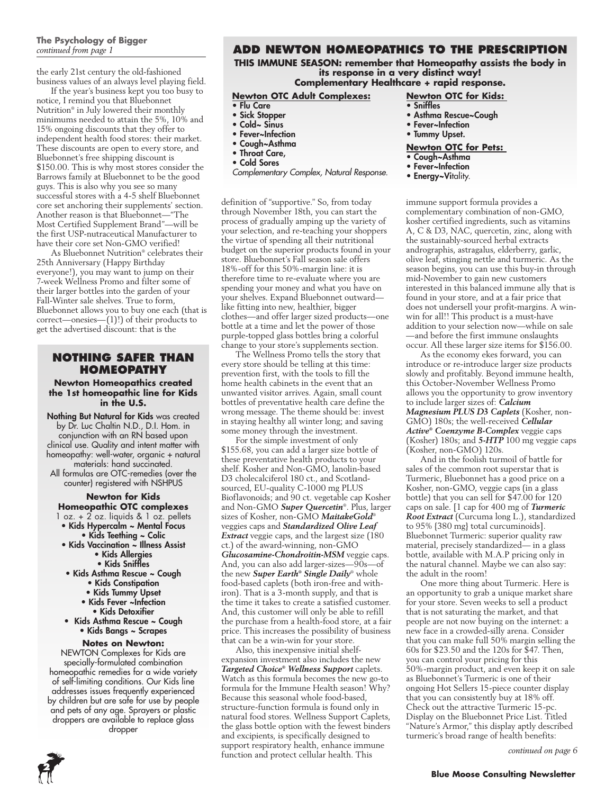## **The Psychology of Bigger**  *continued from page 1*

the early 21st century the old-fashioned business values of an always level playing field.

If the year's business kept you too busy to notice, I remind you that Bluebonnet Nutrition® in July lowered their monthly minimums needed to attain the 5%, 10% and 15% ongoing discounts that they offer to independent health food stores: their market. These discounts are open to every store, and Bluebonnet's free shipping discount is \$150.00. This is why most stores consider the Barrows family at Bluebonnet to be the good guys. This is also why you see so many successful stores with a 4-5 shelf Bluebonnet core set anchoring their supplements' section. Another reason is that Bluebonnet—"The Most Certified Supplement Brand"—will be the first USP-nutraceutical Manufacturer to have their core set Non-GMO verified!

As Bluebonnet Nutrition® celebrates their 25th Anniversary (Happy Birthday everyone!), you may want to jump on their 7-week Wellness Promo and filter some of their larger bottles into the garden of your Fall-Winter sale shelves. True to form, Bluebonnet allows you to buy one each (that is correct—onesies—(1)!) of their products to get the advertised discount: that is the

## **NOTHING SAFER THAN HOMEOPATHY**

### **Newton Homeopathics created the 1st homeopathic line for Kids in the U.S.**

Nothing But Natural for Kids was created by Dr. Luc Chaltin N.D., D.I. Hom. in conjunction with an RN based upon clinical use. Quality and intent matter with homeopathy: well-water, organic + natural materials: hand succinated. All formulas are OTC-remedies (over the

counter) registered with NSHPUS

## **Newton for Kids Homeopathic OTC complexes**

- 1 oz. + 2 oz. liquids & 1 oz. pellets • Kids Hypercalm ~ Mental Focus
	- Kids Teething ~ Colic
- Kids Vaccination ~ Illness Assist • Kids Allergies
	- Kids Sniffles
- Kids Asthma Rescue ~ Cough
	- Kids Constipation
	- Kids Tummy Upset
	- Kids Fever ~Infection • Kids Detoxifier
- Kids Asthma Rescue ~ Cough • Kids Bangs ~ Scrapes

#### **Notes on Newton:**

NEWTON Complexes for Kids are specially-formulated combination homeopathic remedies for a wide variety of self-limiting conditions. Our Kids line addresses issues frequently experienced by children but are safe for use by people and pets of any age. Sprayers or plastic droppers are available to replace glass dropper

## **Add Newton Homeopathics to the Prescription**

**THIS IMMUNE SEASON: remember that Homeopathy assists the body in its response in a very distinct way!** 

## **Complementary Healthcare + rapid response.**

## **Newton OTC Adult Complexes:**

- Flu Care
- Sick Stopper
- Cold~ Sinus
- Fever~Infection
- Cough~Asthma
- Throat Care,
- Cold Sores
- *Complementary Complex, Natural Response.*

definition of "supportive." So, from today through November 18th, you can start the process of gradually amping up the variety of your selection, and re-teaching your shoppers the virtue of spending all their nutritional budget on the superior products found in your store. Bluebonnet's Fall season sale offers 18%-off for this 50%-margin line: it is therefore time to re-evaluate where you are spending your money and what you have on your shelves. Expand Bluebonnet outward like fitting into new, healthier, bigger clothes—and offer larger sized products—one bottle at a time and let the power of those purple-topped glass bottles bring a colorful change to your store's supplements section.

The Wellness Promo tells the story that every store should be telling at this time: prevention first, with the tools to fill the home health cabinets in the event that an unwanted visitor arrives. Again, small count bottles of preventative health care define the wrong message. The theme should be: invest in staying healthy all winter long; and saving some money through the investment.

For the simple investment of only \$155.68, you can add a larger size bottle of these preventative health products to your shelf. Kosher and Non-GMO, lanolin-based D3 cholecalciferol 180 ct., and Scotlandsourced, EU-quality C-1000 mg PLUS Bioflavonoids; and 90 ct. vegetable cap Kosher and Non-GMO *Super Quercetin*®. Plus, larger sizes of Kosher, non-GMO *MaitakeGold*® veggies caps and *Standardized Olive Leaf Extract* veggie caps, and the largest size (180 ct.) of the award-winning, non-GMO *Glucosamine-Chondroitin-MSM* veggie caps. And, you can also add larger-sizes—90s—of the new *Super Earth® Single Daily*® whole food-based caplets (both iron-free and withiron). That is a 3-month supply, and that is the time it takes to create a satisfied customer. And, this customer will only be able to refill the purchase from a health-food store, at a fair price. This increases the possibility of business that can be a win-win for your store.

Also, this inexpensive initial shelfexpansion investment also includes the new *Targeted Choice® Wellness Support* caplets. Watch as this formula becomes the new go-to formula for the Immune Health season! Why? Because this seasonal whole food-based, structure-function formula is found only in natural food stores. Wellness Support Caplets, the glass bottle option with the fewest binders and excipients, is specifically designed to support respiratory health, enhance immune function and protect cellular health. This

#### **Newton OTC for Kids: Sniffles**

- Asthma Rescue~Cough
- Fever~Infection
- Tummy Upset.

### **Newton OTC for Pets:**

- Cough~Asthma
- Fever~Infection
- Energy~Vitality.

immune support formula provides a complementary combination of non-GMO, kosher certified ingredients, such as vitamins A, C & D3, NAC, quercetin, zinc, along with the sustainably-sourced herbal extracts andrographis, astragalus, elderberry, garlic, olive leaf, stinging nettle and turmeric. As the season begins, you can use this buy-in through mid-November to gain new customers interested in this balanced immune ally that is found in your store, and at a fair price that does not undersell your profit-margins. A winwin for all!! This product is a must-have addition to your selection now—while on sale —and before the first immune onslaughts occur. All these larger size items for \$156.00.

As the economy ekes forward, you can introduce or re-introduce larger size products slowly and profitably. Beyond immune health, this October-November Wellness Promo allows you the opportunity to grow inventory to include larger sizes of: *Calcium Magnesium PLUS D3 Caplets* (Kosher, non-GMO) 180s; the well-received *Cellular Active® Coenzyme B-Complex* veggie caps (Kosher) 180s; and *5-HTP* 100 mg veggie caps (Kosher, non-GMO) 120s.

And in the foolish turmoil of battle for sales of the common root superstar that is Turmeric, Bluebonnet has a good price on a Kosher, non-GMO, veggie caps (in a glass bottle) that you can sell for \$47.00 for 120 caps on sale. [1 cap for 400 mg of *Turmeric Root Extract* (Curcuma long L.), standardized to 95% {380 mg} total curcuminoids]. Bluebonnet Turmeric: superior quality raw material, precisely standardized— in a glass bottle, available with M.A.P pricing only in the natural channel. Maybe we can also say: the adult in the room!

One more thing about Turmeric. Here is an opportunity to grab a unique market share for your store. Seven weeks to sell a product that is not saturating the market, and that people are not now buying on the internet: a new face in a crowded-silly arena. Consider that you can make full 50% margin selling the 60s for \$23.50 and the 120s for \$47. Then, you can control your pricing for this 50%-margin product, and even keep it on sale as Bluebonnet's Turmeric is one of their ongoing Hot Sellers 15-piece counter display that you can consistently buy at 18% off. Check out the attractive Turmeric 15-pc. Display on the Bluebonnet Price List. Titled "Nature's Armor," this display aptly described turmeric's broad range of health benefits:

*continued on page 6*

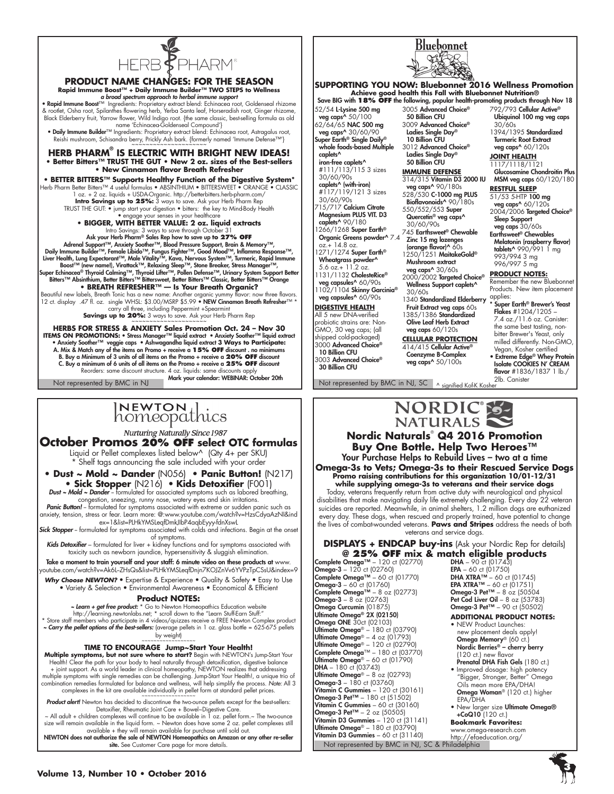

# **PRODUCT NAME CHANGES: FOR THE SEASON**

Rapid Immune Boost™ + Daily Immune Builder™ TWO STEPS to Wellness<br>• Rapid Immune support spectrum approach to herbal immune support<br>• Rapid Immune Boost™ Ingredients: Proprietary extract blend: Echinacea roof, Goldenseal & rootlet, Osha root, Spilanthes flowering herb, Yerba Santa leaf, Horseradish root, Ginger rhizome,<br>Black Elderberry fruit, Yarrow flower, Wild Indigo root. {the same classic, best-selling formula as old<br>name 'Echinacea-G

• Daily Immune Builder™ Ingredients: Proprietary extract blend: Echinacea root, Astragalus root,<br>- Reishi mushroom, Schisandra berry, Prickly Ash bark. {formerly named 'Immune Defense™'}<br>- ~~~~~~~~~~~~~~~~~~~~~~~~~~~~~~~~

**HERB PHARM® IS ELECTRIC WITH BRIGHT NEW IDEAS! • Better Bitters™ TRUST THE GUT • New 2 oz. sizes of the Best-sellers • New Cinnamon flavor Breath Refresher**

**• Better Bitters™ Supports Healthy Function of the Digestive System\*** Herb Pharm Better Bitters™ 4 useful formulas • ABSINTHIUM • BITTERSWEET • ORANGE

1 oz. + 2 oz. liquids + USDA-Organic. http://betterbitters.herb-pharm.com/ **Intro Savings up to 25%:** 3 ways to save. Ask your Herb Pharm Rep TRUST THE GUT: • jump start your digestion • bitters: the key to Mind-Body Health

• engage your senses in your healthcare<br>• BIGGER, WITH BETTER VALUE: 2 oz. liauid extracts

• BIGGER, WITH BETTER VALUE: 2 oz. liquid extracts<br>
Make vorse through: C ways to save through Cotober 31<br>
Ask your Herb Pharm® Sales Rep how to save up to 27% OFF<br>
Adrenal Support™, Anxiety Soother™, Blood Pressure Supp **• Breath Refresher™ — Is Your Breath Organic?** 

Beautiful new labels, Breath Tonic has a new name: Another organic yummy flavor: now three flavors.<br>12 ct. display .47 fl. oz. single WHSL: \$3.00/MSRP \$5.99 • **NEW Cinnamon Breath Refresher**™ \* carry all three, including Peppermint +Spearmint **Savings up to 20%:** 3 ways to save. Ask your Herb Pharm Rep ~~~~~~~~~~~~~~~~~~~~~

**Herbs for STRESS & ANXIETY Sales Promotion Oct. 24 – Nov 30 ITEMS ON PROMOTIONS: •** Stress Manager™ liquid extract • Anxiety Soother™ liquid extract • Anxiety Soother™ veggie caps • Ashwagandha liquid extract **3 Ways to Participate:** A. Mix & Match any of the items on Promo + receive a **15% OFF** discount . no minimums B. Buy a Minimum of 3 units of all items on the Promo + receive a **20% OFF** discount C. Buy a minimum of 6 units of all items on the Promo + receive a **25% OFF** discount Reorders: same discount structure. 4 oz. liquids: same discounts apply Not represented by BMC in NJ Mark your calendar: WEBINAR: October 20th

Not represented by BMC in NJ, SC A signified Kof-K Kosher

# INEWTON di

**Nurturing Naturally Since 1987** 

**October Promos 20% OFF select OTC formulas** Liquid or Pellet complexes listed below^ (Qty 4+ per SKU) \* Shelf tags announcing the sale included with your order

**• Dust ~ Mold ~ Dander** (N056) **• Panic Button!** (N217) **• Sick Stopper** (N216) • **Kids Detoxifier** (F001)

*Dust ~ Mold ~ Dander* -- formulated for associated symptoms such as labored breathing, congestion, sneezing, runny nose, watery eyes and skin irritations. Panic Button! - formulated for symptoms associated with extreme or sudden panic such as

anxiety, tension, stress or fear. Learn more: @:www.youtube.com/watch?v=HzsCdyaAzNI&ind ex=1&list=PLHkYMSLeqfDmkJIbP4aqbEyyy-fdnXswL **Sick Stopper** -- formulated for symptoms associated with colds and infections. Begin at the onset

of symptoms. Kids Detoxifier - formulated for liver + kidney functions and for symptoms associated with

toxicity such as newborn jaundice, hypersensitivity & sluggish elimination.

Take a moment to train yourself and your staff: 6 minute video on these products at www. www.com/watch?v=Ak6L-ZHsQs&list=PLHkYMSLeqfDnjn7KOJZnVv6YVPzTpCSsU&index=9

Why Choose NEWTON? • Expertise & Experience • Quality & Safety • Easy to Use • Variety & Selection • Environmental Awareness • Economical & Efficient

#### **Product NOTES:**

**- Learn + get free product:** \* Go to Newton Homeopathics Education website<br>http://learning.newtonlabs.net; \* scroll down to the "Learn Stuff-"<br>Dore staff members who participate in 4 videos/quizzes receive a FREE Newton C

*~ Carry the pellet options of the best-sellers:* (average pellets in 1 oz. glass bottle = 625-675 pellets by weight)

#### **TIME TO ENCOURAGE Jump~Start Your Health!**

**Multiple symptoms, but not sure where to start?** Begin with NEWTON's Jump-Start Your Health! Clear the path for your body to heal naturally through detoxification, digestive balance + joint support. As a world leader in clinical homeopathy, NEWTON realizes that addressing multiple symptoms with single remedies can be challenging. Jump-Start Your Health!, a unique trio of combination remedies formulated for balance and wellness, will help simplify the process. *Note:* All 3 complexes in the kit are available individually in pellet form at standard pellet prices

Product alert! Newton has decided to discontinue the two-ounce pellets except for the best-sellers: Detoxifier, Rheumatic Joint Care + Bowel~Digestive Care.

All adult + children complexes will continue to be available in 1 oz. pellet form.~ The two-ounce ~<br>size will remain available in the liquid form. ~ Newton does have some 2 oz. pellet complexes still<br>ize available + they w

NEWTON does not authorize the sale of NEWTON Homeopathics on Amazon or any other re-seller site. See Customer Care page for more details



## **SUPPORTING YOU NOW: Bluebonnet 2016 Wellness Promotion Achieve good health this Fall with Bluebonnet Nutrition®** Save BIG with **18% off** the following, popular health-promoting products through Nov 18

52/54 L-Lysine 500 mg veg caps^ 50/100 62/64/65 NAC 500 mg veg caps^ 30/60/90 Super Earth® Single Daily® whole foods-based Multiple caplets<sup>^</sup> iron-free caplets^ #111/113/115 3 sizes 30/60/90s **caplets^ (with-iron)**<br>#117/119/121 3 sizes 30/60/90s  $715/717$  Calcium Citrate Magnesium PLUS VIT. D3 caplets<sup>^</sup> 90/180 266/1268 Super Earth® Organic Greens powder^ 7.4 oz.+ 14.8 oz.<br>1271/1274 **Super Earth**®

**Wheatgrass powder^**<br>5.6 oz.+ 11.2 oz. 1131/1132 CholesteRice® veg capsules^ 60/90s 1102/1104 Skinny Garcinia®

veg capsules^ 60/90s **DIGESTIVE HEALTH** All 5 new DNA-verified probiotic strains are: Non-GMO, 30 veg caps; (all shipped cold-packaged)

3000 Advanced Choice® 10 Billion CFU 3003 Advanced Choice® 30 Billion CFU

3005 Advanced Choice® 50 Billion CFU 3009 Advanced Choice® Ladies Single Day® 10 Billion CFU 3012 Advanced Choice® Ladies Single Day® 50 Billion CFU

**IMMUNE DEFENSE** 314/315 Vitamin D3 2000 IU veg caps^ 90/180s 528/530 C-1000 mg PLUS Bioflavonoids<sup>^</sup> 90/180s

550/552/553 Super Quercetin® veg caps^ 30/60/90s 745 Earthsweet® Chewable Zinc 15 mg lozenges (orange flavor)^ 60s 1250/1251 MaitakeGold®

Mushroom extract veg caps^ 30/60s 2000/2002 Targeted Choice® Wellness Support caplets^ 30/60s

1340 Standardized Elderberry Fruit Extract veg caps 60s 1385/1386 Standardized Olive Leaf Herb Extract veg caps 60/120s

**CELLULAR PROTECTION** 414/415 Cellular Active® Coenzyme B-Complex veg caps^ 50/100s

792/793 Cellular Active® Ubiquinol 100 mg veg caps 30/60s 1394/1395 Standardized Turmeric Root Extract

veg caps^ 60/120s **Joint Health**

1117/1118/1121 Glucosamine Chondroitin Plus MSM veg caps 60/120/180

**Restful Sleep**

51/53 5-HTP 100 mg veg caps^ 60/120s 2004/2006 Targeted Choice® Sleep Support veg caps 30/60s<br>Earthsweet® Chewables

**Melatonin (raspberry flavor)**<br>**tablets^** 990/991 1 mg 993/994 3 mg 996/997 5 mg

### **PRODUCT NOTES:**

Remember the new Bluebonnet Products. New item placement applies:

Super Earth® Brewer's Yeast Flakes #1204/1205 – 7.4 oz./11.6 oz. Canister: the same best tasting, nonbitter Brewer's Yeast, only milled differently. Non-GMO, Vegan, Kosher certified

• Extreme Edge® Whey Protein Isolate COOKIES N' CREAM flavor #1836/1837 1 lb./ 2lb. Canister

NORDIC® **NATURALS** 

**Nordic Naturals**®  **Q4 2016 Promotion Buy One Bottle. Help Two Heroes™** Your Purchase Helps to Rebuild Lives – two at a time **Omega-3s to Vets; Omega-3s to their Rescued Service Dogs Promo raising contributions for this organization 10/01-12/31 while supplying omega-3s to veterans and their service dogs** Today, veterans frequently return from active duty with neurological and physical

disabilities that make navigating daily life extremely challenging. Every day 22 veteran suicides are reported. Meanwhile, in animal shelters, 1.2 million dogs are euthanized every day. These dogs, when rescued and properly trained, have potential to change the lives of combat-wounded veterans. **Paws and Stripes** address the needs of both veterans and service dogs.

#### **DISPLAYS + ENDCAP buy-ins** (Ask your Nordic Rep for details) **@ 25% OFF mix & match eligible products**

Not represented by BMC in NJ, SC & Philadelphia Complete Omega™ – 120 ct (02770) **Omega-3** – 120 ct (02760)<br>**Complete Omega™** – 60 ct (01770) **Omega-3** – 60 ct (01760) Complete Omega™ – 8 oz (02773) Omega-3 – 8 oz (02763) Omega Curcumin (01875) Ultimate Omega® 2X (02150) Omega ONE 30ct (02103) **Ultimate Omega®** – 180 ct (03790)<br>**Ultimate Omega®** – 4 oz (01793)<br>**Ultimate Omega® –** 120 ct (02790)<br>**Complete Omega™ –** 180 ct (03770) Ultimate Omega® – 60 ct (01790) **DHA** – 180 ct (03743) Ultimate Omega<sup>®</sup> –  $8$  oz (02793) Omega-3 – 180 ct (03760) **Vitamin C Gummies** – 120 ct (30161)<br>**Omega-3 Pet™ –** 180 ct (51502) Vitamin C Gummies – 60 ct  $(30160)$ **Omega-3 Pet™ –** 2 oz (50505)<br>**Vitamin D3 Gummies –** 120 ct (31141) **Ultimate Omega®** – 180 ct (03790)<br>**Vitamin D3 Gummies** – 60 ct (31140) Vitamin D3 Gummies – 60 ct (31140) http://efaeducation.org/

**DHA** – 90 ct (01743)<br>**EPA** – 60 ct (01750) **DHA XTRA™** – 60 ct (01745) **EPA XTRA™** – 60 ct (01751) Omega-3 Pet<sup>™</sup> –  $8$  oz (50504 **Pet Cod Liver Oil –** 8 oz (53783)<br>**Omega-3 Pet™ –** 90 ct (50502)

## **ADDITIONAL PRODUCT NOTES:**

- NEW Product Launches: new placement deals apply! Omega Memory® (60 ct.) Nordic Berries® – cherry berry (120 ct.) new flavor Prenatal DHA Fish Gels (180 ct.)
- Improved dosage: high potency "Bigger, Stronger, Better" Omega Oils mean more EPA/DHA! Omega Woman® (120 ct.) higher EPA/DHA
- New larger size Ultimate Omega®  $+$ CoQ10 $(120 \text{ ct.})$

**Bookmark Favorites:** www.omega-research.com

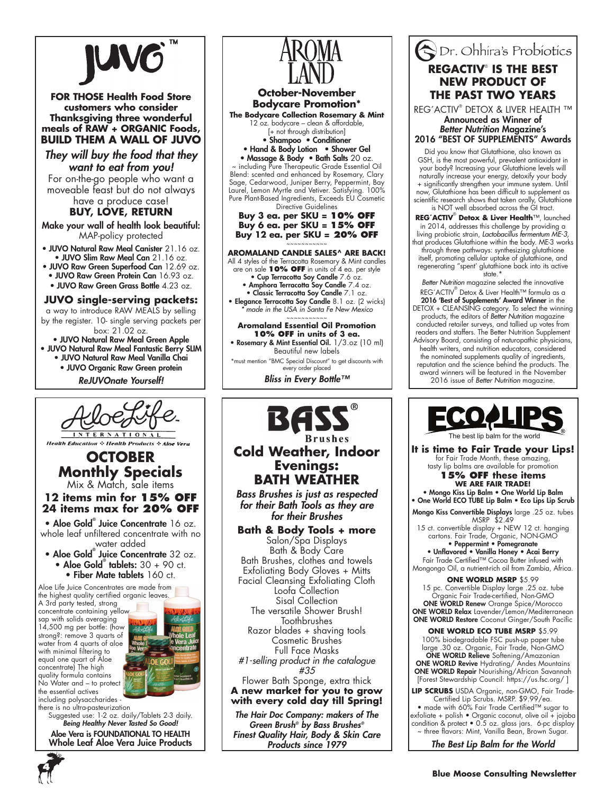

**FOR THOSE Health Food Store customers who consider Thanksgiving three wonderful meals of RAW + ORGANIC Foods, BUILD THEM A WALL OF JUVO**

*They will buy the food that they want to eat from you!*

For on-the-go people who want a moveable feast but do not always have a produce case!

**BUY, LOVE, RETURN**

Make your wall of health look beautiful: MAP-policy protected

• JUVO Natural Raw Meal Canister 21.16 oz. • JUVO Slim Raw Meal Can 21.16 oz.

• JUVO Raw Green Superfood Can 12.69 oz. • JUVO Raw Green Protein Can 16.93 oz. • JUVO Raw Green Grass Bottle 4.23 oz.

**JUVO single-serving packets:**

a way to introduce RAW MEALS by selling by the register. 10- single serving packets per box: 21.02 oz.

• JUVO Natural Raw Meal Green Apple • JUVO Natural Raw Meal Fantastic Berry SLIM

- JUVO Natural Raw Meal Vanilla Chai
	- JUVO Organic Raw Green protein

*ReJUVOnate Yourself!* 



**Health Education : Health Products : Aloe Vera** 

# **OCTOBER Monthly Specials**

Mix & Match, sale items **12 items min for 15% off**

# **24 items max for 20% off**

• Aloe Gold<sup>®</sup> Juice Concentrate 16 oz. whole leaf unfiltered concentrate with no water added

- Aloe Gold® Juice Concentrate 32 oz. • Aloe Gold® tablets:  $30 + 90$  ct.
	- Fiber Mate tablets 160 ct.

Aloe Life Juice Concentrates are made from the highest quality certified organic leaves.

A 3rd party tested, strong concentrate containing yellow sap with solids averaging 14,500 mg per bottle: (how strong?: remove 3 quarts of water from 4 quarts of aloe with minimal filtering to equal one quart of Aloe concentrate) The high quality formula contains No Water and – to protect the essential actives



including polysaccharides there is no ultra-pasteurization

Suggested use: 1-2 oz. daily/Tablets 2-3 daily. *Being Healthy Never Tasted So Good!* Aloe Vera is FOUNDATIONAL TO HEALTH

Whole Leaf Aloe Vera Juice Products



# **Cold Weather, Indoor Evenings: BATH WEATHER**

*Bass Brushes is just as respected for their Bath Tools as they are for their Brushes*

**Bath & Body Tools + more**

Salon/Spa Displays Bath & Body Care Bath Brushes, clothes and towels Exfoliating Body Gloves + Mitts Facial Cleansing Exfoliating Cloth Loofa Collection Sisal Collection The versatile Shower Brush! **Toothbrushes** Razor blades + shaving tools Cosmetic Brushes Full Face Masks *#1-selling product in the catalogue #35* Flower Bath Sponge, extra thick **A new market for you to grow with every cold day till Spring!**

*The Hair Doc Company: makers of The Green Brush® by Bass Brushes® Finest Quality Hair, Body & Skin Care Products since 1979*

# Dr. Ohhira's Probiotics **REGACTIV**®  **IS THE BEST NEW PRODUCT OF THE PAST TWO YEARS**

REG´ACTIV® DETOX & LIVER HEALTH ™ Announced as Winner of *Better Nutrition* Magazine's 2016 "BEST OF SUPPLEMENTS" Awards

Did you know that Glutathione, also known as GSH, is the most powerful, prevalent antioxidant in your body? Increasing your Glutathione levels will naturally increase your energy, detoxify your body + significantly strengthen your immune system. Until now, Glutathione has been difficult to supplement as scientific research shows that taken orally, Glutathione is NOT well absorbed across the GI tract.

**REG´ACTIV**®  **Detox & Liver Health**™, launched in 2014, addresses this challenge by providing a living probiotic strain, *Lactobacillus fermentum ME-3,* that produces Glutathione within the body. ME-3 works through three pathways: synthesizing glutathione itself, promoting cellular uptake of glutathione, and regenerating "spent' glutathione back into its active state.\*

*Better Nutrition* magazine selected the innovative REG´ACTIV® Detox & Liver Health™ formula as a 2016 'Best of Supplements' Award Winner in the

DETOX + CLEANSING category. To select the winning products, the editors of *Better Nutrition* magazine conducted retailer surveys, and tallied up votes from readers and staffers. The Better Nutrition Supplement Advisory Board, consisting of naturopathic physicians, health writers, and nutrition educators, considered the nominated supplements quality of ingredients, reputation and the science behind the products. The

award winners will be featured in the November 2016 issue of *Better Nutrition* magazine.



**It is time to Fair Trade your Lips!** for Fair Trade Month, these amazing, tasty lip balms are available for promotion **15% OFF these items**

**WE ARE FAIR TRADE!** • Mongo Kiss Lip Balm • One World Lip Balm

• One World ECO TUBE Lip Balm • Eco Lips Lip Scrub Mongo Kiss Convertible Displays large .25 oz. tubes

MSRP \$2.49 15 ct. convertible display + NEW 12 ct. hanging cartons. Fair Trade, Organic, NON-GMO

• Peppermint • Pomegranate • Unflavored • Vanilla Honey • Acai Berry Fair Trade Certified™ Cocoa Butter infused with Mongongo Oil, a nutrient-rich oil from Zambia, Africa.

**ONE WORLD MSRP** \$5.99 15 pc. Convertible Display large .25 oz. tube Organic Fair Trade-certified, Non-GMO **ONE WORLD Renew** Orange Spice/Morocco ONE WORLD Relax Lavender/Lemon/Mediterranean ONE WORLD Restore Coconut Ginger/South Pacific

**ONE WORLD ECO TUBE MSRP** \$5.99 100% biodegradable FSC push-up paper tube large .30 oz. Organic, Fair Trade, Non-GMO ONE WORLD Relieve Softening/Amazonian ONE WORLD Revive Hydrating/ Andes Mountains ONE WORLD Repair Nourishing/African Savannah [Forest Stewardship Council: https://us.fsc.org/ ]

**Lip Scrubs** USDA Organic, non-GMO, Fair Trade-Certified Lip Scrubs. MSRP. \$9.99/ea.

• made with 60% Fair Trade Certified™ sugar to exfoliate + polish • Organic coconut, olive oil + jojoba condition & protect • 0.5 oz. glass jars. 6-pc display ~ three flavors: Mint, Vanilla Bean, Brown Sugar.

*The Best Lip Balm for the World*

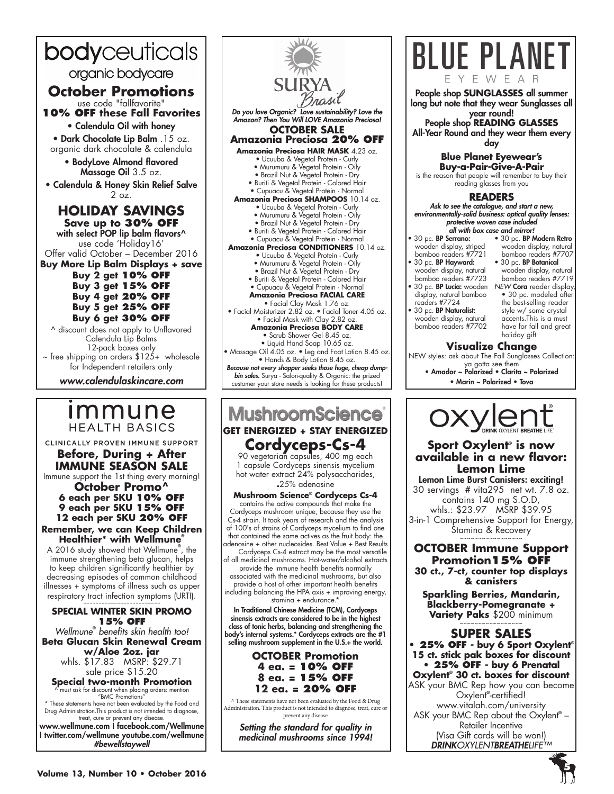## bodyceuticals organic bodycare **October Promotions** use code "fallfavorite" **10% OFF these Fall Favorites** • Calendula Oil with honey • Dark Chocolate Lip Balm .15 oz. organic dark chocolate & calendula • BodyLove Almond flavored Massage Oil 3.5 oz. • Calendula & Honey Skin Relief Salve 2 oz. **HOLIDAY SAVINGS Save up to 30% OFF** with select POP lip balm flavors^ use code 'Holiday16' Offer valid October – December 2016 **Buy More Lip Balm Displays + save Buy 2 get 10% OFF Buy 3 get 15% OFF Buy 4 get 20% OFF Buy 5 get 25% OFF Buy 6 get 30% OFF**  ^ discount does not apply to Unflavored Calendula Lip Balms 12-pack boxes only  $\sim$  free shipping on orders  $$125+$  wholesale

for Independent retailers only

*www.calendulaskincare.com*

# <u>Immune</u> **HEALTH BASICS**

CLINICALLY PROVEN IMMUNE SUPPORT

**Before, During + After Immune Season Sale** Immune support the 1st thing every morning!

**October Promo^ 6 each per SKU 10% OFF 9 each per SKU 15% OFF 12 each per SKU 20% OFF Remember, we can Keep Children** 

**Healthier\* with Wellmune®**

A 2016 study showed that Wellmune**®** , the immune strengthening beta glucan, helps to keep children significantly healthier by decreasing episodes of common childhood illnesses + symptoms of illness such as upper respiratory tract infection symptoms (URTI).

#### ~~~~~~~~~~~~~~~~~~~~ **Special winter skin promo 15% Off**

*Wellmune***®**  *benefits skin health too!* **Beta Glucan Skin Renewal Cream w/Aloe 2oz. jar**  whls. \$17.83 MSRP: \$29.71 sale price \$15.20 **Special two-month Promotion** ^ must ask for discount when placing orders: mention "BMC Promotions" \* These statements have not been evaluated by the Food and

Drug Administration.This product is not intended to diagnose, treat, cure or prevent any disease. www.wellmune.com I facebook.com/Wellmune

I twitter.com/wellmune youtube.com/wellmune *#bewellstaywell*



# **MushroomScience GET ENERGIZED + STAY ENERGIZED Cordyceps-Cs-4**

90 vegetarian capsules, 400 mg each 1 capsule Cordyceps sinensis mycelium hot water extract 24% polysaccharides, **.**25% adenosine

### **Mushroom Science® Cordyceps Cs-4**

contains the active compounds that make the Cordyceps mushroom unique, because they use the Cs-4 strain. It took years of research and the analysis of 100's of strains of Cordyceps mycelium to find one that contained the same actives as the fruit body: the adenosine + other nucleosides. Best Value + Best Results Cordyceps Cs-4 extract may be the most versatile

of all medicinal mushrooms. Hot-water/alcohol extracts provide the immune health benefits normally associated with the medicinal mushrooms, but also provide a host of other important health benefits including balancing the HPA axis + improving energy,

stamina + endurance.\*

In Traditional Chinese Medicine (TCM), Cordyceps sinensis extracts are considered to be in the highest class of tonic herbs, balancing and strengthening the body's internal systems.\* Cordyceps extracts are the #1 selling mushroom supplement in the U.S.+ the world.

## **OCTOBER Promotion 4 ea. = 10% OFF 8 ea. = 15% OFF 12 ea. = 20% OFF**

^ These statements have not been evaluated by the Food & Drug Administration. This product is not intended to diagnose, treat, cure or prevent any disease

*Setting the standard for quality in medicinal mushrooms since 1994!*



• 30 pc. BP Serrano: wooden display, striped bamboo readers #7721 • 30 pc. BP Hayward:

wooden display, natural wooden display, natural bamboo readers #7707 • 30 pc. BP Botanical wooden display, natural bamboo readers #7719

- bamboo readers #7723 • 30 pc. BP Lucia: wooden *NEW* Cora reader display, display, natural bamboo readers #7724
- 30 pc. BP Naturalist: wooden display, natural bamboo readers #7702

• 30 pc. modeled after the best-selling reader style w/ some crystal accents.This is a must have for fall and great holiday gift

## **Visualize Change**

NEW styles: ask about The Fall Sunglasses Collection: ya gotta see them • Amador ~ Polarized • Clarita ~ Polarized

• Marin ~ Polarized • Tova



## **Sport Oxylent® is now available in a new flavor: Lemon Lime**

Lemon Lime Burst Canisters: exciting! 30 servings # vita295 net wt. 7.8 oz. contains 140 mg S.O.D, whls.: \$23.97 MSRP \$39.95 3-in-1 Comprehensive Support for Energy, Stamina & Recovery

**OCTOBER Immune Support Promotion15% OFF 30 ct., 7-ct, counter top displays** 

~~~~~~~~~~~~~~~~~

**& canisters Sparkling Berries, Mandarin, Blackberry-Pomegranate +** 

**Variety Paks** \$200 minimum ~~~~~~~~~~~~~~~~~

**SUPER SALES • 25% OFF - buy 6 Sport Oxylent® 15 ct. stick pak boxes for discount • 25% OFF - buy 6 Prenatal Oxylent® 30 ct. boxes for discount** ASK your BMC Rep how you can become Oxylent**®** -certified! www.vitalah.com/university ASK your BMC Rep about the Oxylent**®** – Retailer Incentive (Visa Gift cards will be won!) *DRINKOXYLENTBREATHELIFE™*

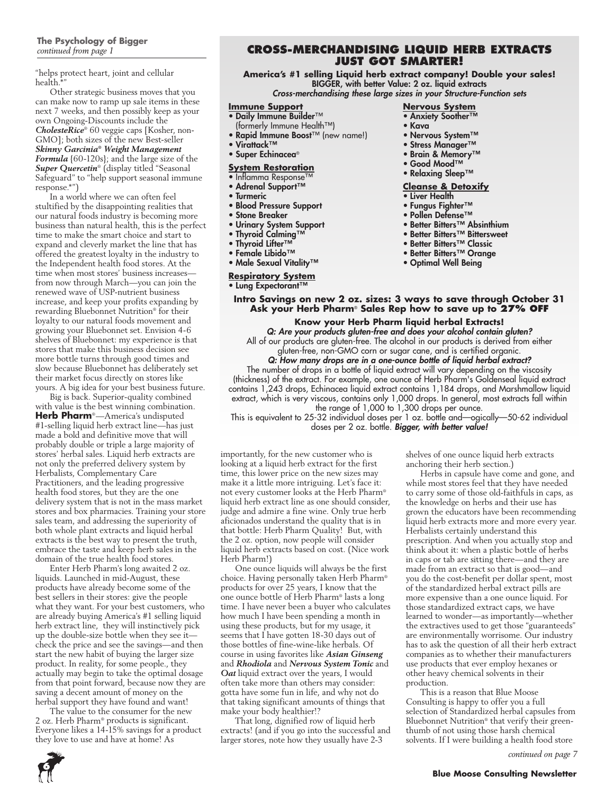## **The Psychology of Bigger**  *continued from page 1*

"helps protect heart, joint and cellular health.\*"

Other strategic business moves that you can make now to ramp up sale items in these next 7 weeks, and then possibly keep as your own Ongoing-Discounts include the *CholesteRice*® 60 veggie caps [Kosher, non-GMO]; both sizes of the new Best-seller *Skinny Garcinia® Weight Management Formula* {60-120s}; and the large size of the *Super Quercetin*® (display titled "Seasonal Safeguard" to "help support seasonal immune response.\*")

In a world where we can often feel stultified by the disappointing realities that our natural foods industry is becoming more business than natural health, this is the perfect time to make the smart choice and start to expand and cleverly market the line that has offered the greatest loyalty in the industry to the Independent health food stores. At the time when most stores' business increases from now through March—you can join the renewed wave of USP-nutrient business increase, and keep your profits expanding by rewarding Bluebonnet Nutrition® for their loyalty to our natural foods movement and growing your Bluebonnet set. Envision 4-6 shelves of Bluebonnet: my experience is that stores that make this business decision see more bottle turns through good times and slow because Bluebonnet has deliberately set their market focus directly on stores like yours. A big idea for your best business future.

Big is back. Superior-quality combined with value is the best winning combination. **Herb Pharm**®—America's undisputed #1-selling liquid herb extract line—has just made a bold and definitive move that will probably double or triple a large majority of stores' herbal sales. Liquid herb extracts are not only the preferred delivery system by Herbalists, Complementary Care Practitioners, and the leading progressive health food stores, but they are the one delivery system that is not in the mass market stores and box pharmacies. Training your store sales team, and addressing the superiority of both whole plant extracts and liquid herbal extracts is the best way to present the truth, embrace the taste and keep herb sales in the domain of the true health food stores.

Enter Herb Pharm's long awaited 2 oz. liquids. Launched in mid-August, these products have already become some of the best sellers in their stores: give the people what they want. For your best customers, who are already buying America's #1 selling liquid herb extract line, they will instinctively pick up the double-size bottle when they see it check the price and see the savings—and then start the new habit of buying the larger size product. In reality, for some people., they actually may begin to take the optimal dosage from that point forward, because now they are saving a decent amount of money on the herbal support they have found and want!

The value to the consumer for the new 2 oz. Herb Pharm® products is significant. Everyone likes a 14-15% savings for a product they love to use and have at home! As

## **Cross-Merchandising Liquid Herb extracts just got smarter!**

**America's #1 selling Liquid herb extract company! Double your sales!** BIGGER, with better Value: 2 oz. liquid extracts

*Cross-merchandising these large sizes in your Structure-Function sets*

#### **Immune Support**

- Daily Immune Builder™
- (formerly Immune Health™)
- Rapid Immune Boost™ (new name!)
- Virattack™
- Super Echinacea®

#### **System Restoration**

- Inflamma Response™
- Adrenal Support™
- Turmeric
- Blood Pressure Support
- Stone Breaker
- Urinary System Support
- Thyroid Calming™
- Thyroid Lifter™
- Female Libido™
- Male Sexual Vitality™

## **Respiratory System**

• Lung Expectorant™

## **Nervous System**

- Anxiety Soother™
- Kava
- Nervous System™
- Stress Manager™
- Brain & Memory™
- Good Mood™
- Relaxing Sleep™

### **Cleanse & Detoxify**

- Liver Health
- Fungus Fighter™
- Pollen Defense™
- Better Bitters™ Absinthium
- Better Bitters™ Bittersweet
- Better Bitters™ Classic
- Better Bitters™ Orange
- Optimal Well Being

**Intro Savings on new 2 oz. sizes: 3 ways to save through October 31 Ask your Herb Pharm**® **Sales Rep how to save up to 27% OFF**

#### **Know your Herb Pharm liquid herbal Extracts!**

*Q: Are your products gluten-free and does your alcohol contain gluten?* All of our products are gluten-free. The alcohol in our products is derived from either gluten-free, non-GMO corn or sugar cane, and is certified organic. *Q: How many drops are in a one-ounce bottle of liquid herbal extract?* The number of drops in a bottle of liquid extract will vary depending on the viscosity (thickness) of the extract. For example, one ounce of Herb Pharm's Goldenseal liquid extract

contains 1,243 drops, Echinacea liquid extract contains 1,184 drops, and Marshmallow liquid extract, which is very viscous, contains only 1,000 drops. In general, most extracts fall within the range of 1,000 to 1,300 drops per ounce.

This is equivalent to 25-32 individual doses per 1 oz. bottle and—ogically—50-62 individual doses per 2 oz. bottle. *Bigger, with better value!*

importantly, for the new customer who is looking at a liquid herb extract for the first time, this lower price on the new sizes may make it a little more intriguing. Let's face it: not every customer looks at the Herb Pharm® liquid herb extract line as one should consider, judge and admire a fine wine. Only true herb aficionados understand the quality that is in that bottle: Herb Pharm Quality! But, with the 2 oz. option, now people will consider liquid herb extracts based on cost. (Nice work Herb Pharm!)

One ounce liquids will always be the first choice. Having personally taken Herb Pharm® products for over 25 years, I know that the one ounce bottle of Herb Pharm® lasts a long time. I have never been a buyer who calculates how much I have been spending a month in using these products, but for my usage, it seems that I have gotten 18-30 days out of those bottles of fine-wine-like herbals. Of course in using favorites like *Asian Ginseng* and *Rhodiola* and *Nervous System Tonic* and *Oat* liquid extract over the years, I would often take more than others may consider: gotta have some fun in life, and why not do that taking significant amounts of things that make your body healthier!?

That long, dignified row of liquid herb extracts! (and if you go into the successful and larger stores, note how they usually have 2-3

shelves of one ounce liquid herb extracts anchoring their herb section.)

Herbs in capsule have come and gone, and while most stores feel that they have needed to carry some of those old-faithfuls in caps, as the knowledge on herbs and their use has grown the educators have been recommending liquid herb extracts more and more every year. Herbalists certainly understand this prescription. And when you actually stop and think about it: when a plastic bottle of herbs in caps or tab are sitting there—and they are made from an extract so that is good—and you do the cost-benefit per dollar spent, most of the standardized herbal extract pills are more expensive than a one ounce liquid. For those standardized extract caps, we have learned to wonder—as importantly—whether the extractives used to get those "guaranteeds" are environmentally worrisome. Our industry has to ask the question of all their herb extract companies as to whether their manufacturers use products that ever employ hexanes or other heavy chemical solvents in their production.

This is a reason that Blue Moose Consulting is happy to offer you a full selection of Standardized herbal capsules from Bluebonnet Nutrition® that verify their greenthumb of not using those harsh chemical solvents. If I were building a health food store

*continued on page 7*

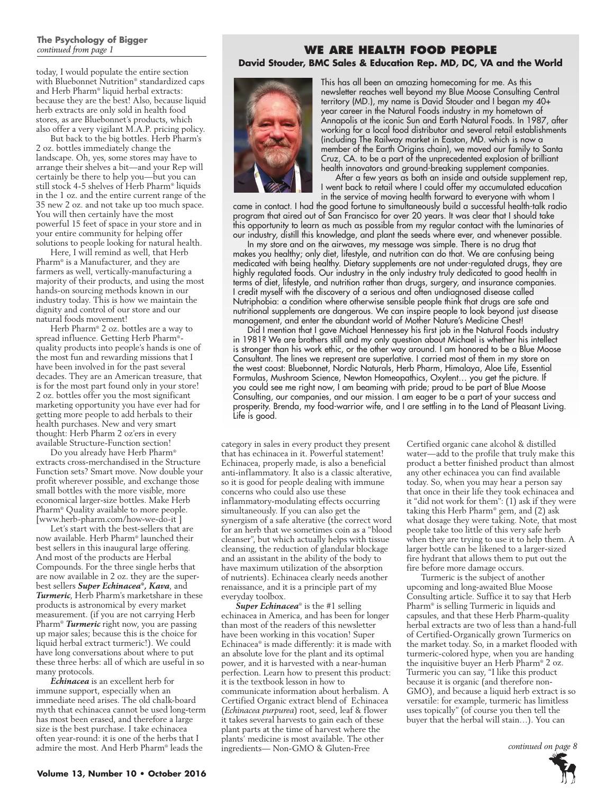### **The Psychology of Bigger**  *continued from page 1*

today, I would populate the entire section with Bluebonnet Nutrition® standardized caps and Herb Pharm® liquid herbal extracts: because they are the best! Also, because liquid herb extracts are only sold in health food stores, as are Bluebonnet's products, which also offer a very vigilant M.A.P. pricing policy.

But back to the big bottles. Herb Pharm's 2 oz. bottles immediately change the landscape. Oh, yes, some stores may have to arrange their shelves a bit—and your Rep will certainly be there to help you—but you can still stock 4-5 shelves of Herb Pharm® liquids in the 1 oz. and the entire current range of the 35 new 2 oz. and not take up too much space. You will then certainly have the most powerful 15 feet of space in your store and in your entire community for helping offer solutions to people looking for natural health.

Here, I will remind as well, that Herb Pharm® is a Manufacturer, and they are farmers as well, vertically-manufacturing a majority of their products, and using the most hands-on sourcing methods known in our industry today. This is how we maintain the dignity and control of our store and our natural foods movement!

Herb Pharm® 2 oz. bottles are a way to spread influence. Getting Herb Pharm® quality products into people's hands is one of the most fun and rewarding missions that I have been involved in for the past several decades. They are an American treasure, that is for the most part found only in your store! 2 oz. bottles offer you the most significant marketing opportunity you have ever had for getting more people to add herbals to their health purchases. New and very smart thought: Herb Pharm 2 oz'ers in every available Structure-Function section!

Do you already have Herb Pharm® extracts cross-merchandised in the Structure Function sets? Smart move. Now double your profit wherever possible, and exchange those small bottles with the more visible, more economical larger-size bottles. Make Herb Pharm® Quality available to more people. [www.herb-pharm.com/how-we-do-it ]

Let's start with the best-sellers that are now available. Herb Pharm® launched their best sellers in this inaugural large offering. And most of the products are Herbal Compounds. For the three single herbs that are now available in 2 oz. they are the superbest sellers *Super Echinacea®, Kava*, and *Turmeric*, Herb Pharm's marketshare in these products is astronomical by every market measurement. (if you are not carrying Herb Pharm® *Turmeric* right now, you are passing up major sales; because this is the choice for liquid herbal extract turmeric!). We could have long conversations about where to put these three herbs: all of which are useful in so many protocols.

*Echinacea* is an excellent herb for immune support, especially when an immediate need arises. The old chalk-board myth that echinacea cannot be used long-term has most been erased, and therefore a large size is the best purchase. I take echinacea often year-round: it is one of the herbs that I admire the most. And Herb Pharm® leads the

## **WE ARE HEALTH FOOD PEOPLE David Stouder, BMC Sales & Education Rep. MD, DC, VA and the World**



This has all been an amazing homecoming for me. As this newsletter reaches well beyond my Blue Moose Consulting Central territory (MD.), my name is David Stouder and I began my 40+ year career in the Natural Foods industry in my hometown of Annapolis at the iconic Sun and Earth Natural Foods. In 1987, after working for a local food distributor and several retail establishments (including The Railway market in Easton, MD. which is now a member of the Earth Origins chain), we moved our family to Santa Cruz, CA. to be a part of the unprecedented explosion of brilliant health innovators and ground-breaking supplement companies.

After a few years as both an inside and outside supplement rep, I went back to retail where I could offer my accumulated education in the service of moving health forward to everyone with whom I

came in contact. I had the good fortune to simultaneously build a successful health-talk radio program that aired out of San Francisco for over 20 years. It was clear that I should take this opportunity to learn as much as possible from my regular contact with the luminaries of our industry, distill this knowledge, and plant the seeds where ever, and whenever possible.

In my store and on the airwaves, my message was simple. There is no drug that makes you healthy; only diet, lifestyle, and nutrition can do that. We are confusing being medicated with being healthy. Dietary supplements are not under-regulated drugs, they are highly regulated foods. Our industry in the only industry truly dedicated to good health in terms of diet, lifestyle, and nutrition rather than drugs, surgery, and insurance companies. I credit myself with the discovery of a serious and often undiagnosed disease called Nutriphobia: a condition where otherwise sensible people think that drugs are safe and nutritional supplements are dangerous. We can inspire people to look beyond just disease management, and enter the abundant world of Mother Nature's Medicine Chest!

Did I mention that I gave Michael Hennessey his first job in the Natural Foods industry in 1981? We are brothers still and my only question about Michael is whether his intellect is stronger than his work ethic, or the other way around. I am honored to be a Blue Moose Consultant. The lines we represent are superlative. I carried most of them in my store on the west coast: Bluebonnet, Nordic Naturals, Herb Pharm, Himalaya, Aloe Life, Essential Formulas, Mushroom Science, Newton Homeopathics, Oxylent… you get the picture. If you could see me right now, I am beaming with pride; proud to be part of Blue Moose Consulting, our companies, and our mission. I am eager to be a part of your success and prosperity. Brenda, my food-warrior wife, and I are settling in to the Land of Pleasant Living. Life is good.

category in sales in every product they present that has echinacea in it. Powerful statement! Echinacea, properly made, is also a beneficial anti-inflammatory. It also is a classic alterative, so it is good for people dealing with immune concerns who could also use these inflammatory-modulating effects occurring simultaneously. If you can also get the synergism of a safe alterative (the correct word for an herb that we sometimes coin as a "blood cleanser", but which actually helps with tissue cleansing, the reduction of glandular blockage and an assistant in the ability of the body to have maximum utilization of the absorption of nutrients). Echinacea clearly needs another renaissance, and it is a principle part of my everyday toolbox.

*Super Echinacea*® is the #1 selling echinacea in America, and has been for longer than most of the readers of this newsletter have been working in this vocation! Super Echinacea® is made differently: it is made with an absolute love for the plant and its optimal power, and it is harvested with a near-human perfection. Learn how to present this product: it is the textbook lesson in how to communicate information about herbalism. A Certified Organic extract blend of Echinacea (*Echinacea purpurea*) root, seed, leaf & flower it takes several harvests to gain each of these plant parts at the time of harvest where the plants' medicine is most available. The other ingredients— Non-GMO & Gluten-Free

Certified organic cane alcohol & distilled water—add to the profile that truly make this product a better finished product than almost any other echinacea you can find available today. So, when you may hear a person say that once in their life they took echinacea and it "did not work for them": (1) ask if they were taking this Herb Pharm® gem, and (2) ask what dosage they were taking. Note, that most people take too little of this very safe herb when they are trying to use it to help them. A larger bottle can be likened to a larger-sized fire hydrant that allows them to put out the fire before more damage occurs.

Turmeric is the subject of another upcoming and long-awaited Blue Moose Consulting article. Suffice it to say that Herb Pharm® is selling Turmeric in liquids and capsules, and that these Herb Pharm-quality herbal extracts are two of less than a hand-full of Certified-Organically grown Turmerics on the market today. So, in a market flooded with turmeric-colored hype, when you are handing the inquisitive buyer an Herb Pharm® 2 oz. Turmeric you can say, "I like this product because it is organic (and therefore non-GMO), and because a liquid herb extract is so versatile: for example, turmeric has limitless uses topically" (of course you then tell the buyer that the herbal will stain…). You can

*continued on page 8*